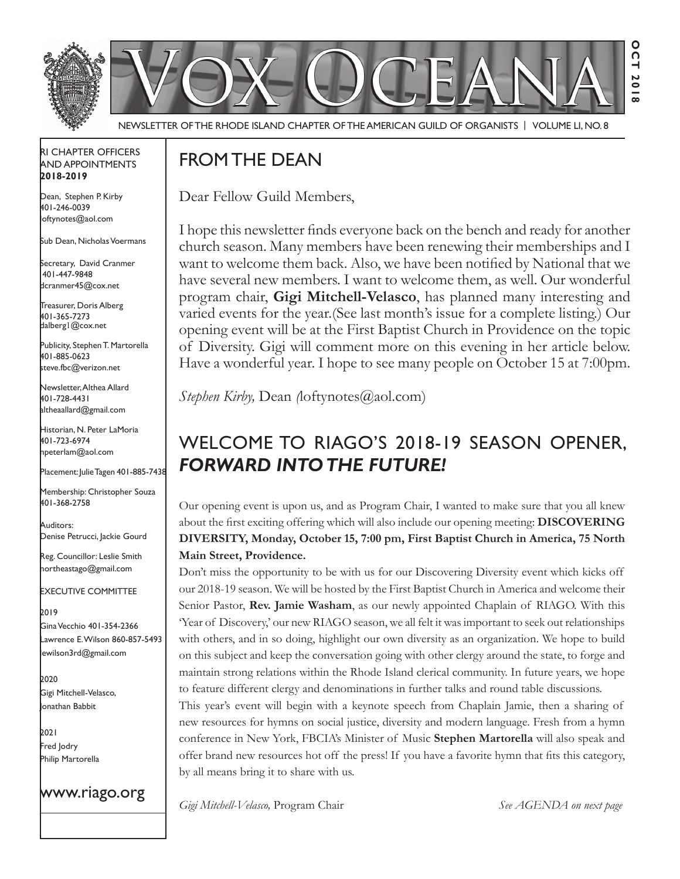

Newsletter of the Rhode Island Chapter of the American Guild of OrganistS | Volume LI, No. 8

### RI Chapter Officers and Appointments **2018-2019**

Dean, Stephen P. Kirby 401-246-0039 loftynotes@aol.com

Sub Dean, Nicholas Voermans

Secretary, David Cranmer 401-447-9848 dcranmer45@cox.net

Treasurer, Doris Alberg 401-365-7273 dalberg1@cox.net

I Publicity, Stephen T. Martorella 401-885-0623 steve.fbc@verizon.net

Newsletter, Althea Allard 401-728-4431 altheaallard@gmail.com

Historian, N. Peter LaMoria 401-723-6974 npeterlam@aol.com

Placement: Julie Tagen 401-885-7438

Membership: Christopher Souza 401-368-2758

Auditors: Denise Petrucci, Jackie Gourd

Reg. Councillor: Leslie Smith northeastago@gmail.com

Executive Committee

2019 Gina Vecchio 401-354-2366 Lawrence E. Wilson 860-857-5493 lewilson3rd@gmail.com

2020 Gigi Mitchell-Velasco, Jonathan Babbit

2021 Fred Jodry Philip Martorella

www.riago.org

# From the Dean

Dear Fellow Guild Members,

I hope this newsletter finds everyone back on the bench and ready for another church season. Many members have been renewing their memberships and I want to welcome them back. Also, we have been notified by National that we have several new members. I want to welcome them, as well. Our wonderful program chair, **Gigi Mitchell-Velasco**, has planned many interesting and varied events for the year.(See last month's issue for a complete listing.) Our opening event will be at the First Baptist Church in Providence on the topic of Diversity. Gigi will comment more on this evening in her article below. Have a wonderful year. I hope to see many people on October 15 at 7:00pm.

*Stephen Kirby, Dean <i>(loftynotes@aol.com)* 

# Welcome to RIAGO's 2018-19 Season opener, *FORWARD INTO THE FUTURE!*

Our opening event is upon us, and as Program Chair, I wanted to make sure that you all knew about the first exciting offering which will also include our opening meeting: **DISCOVERING DIVERSITY, Monday, October 15, 7:00 pm, First Baptist Church in America, 75 North Main Street, Providence.**

Don't miss the opportunity to be with us for our Discovering Diversity event which kicks off our 2018-19 season. We will be hosted by the First Baptist Church in America and welcome their Senior Pastor, **Rev. Jamie Washam**, as our newly appointed Chaplain of RIAGO. With this 'Year of Discovery,' our new RIAGO season, we all felt it was important to seek out relationships with others, and in so doing, highlight our own diversity as an organization. We hope to build on this subject and keep the conversation going with other clergy around the state, to forge and maintain strong relations within the Rhode Island clerical community. In future years, we hope to feature different clergy and denominations in further talks and round table discussions.

This year's event will begin with a keynote speech from Chaplain Jamie, then a sharing of new resources for hymns on social justice, diversity and modern language. Fresh from a hymn conference in New York, FBCIA's Minister of Music **Stephen Martorella** will also speak and offer brand new resources hot off the press! If you have a favorite hymn that fits this category, by all means bring it to share with us.

*Gigi Mitchell-Velasco,* Program Chair *See AGENDA on next page*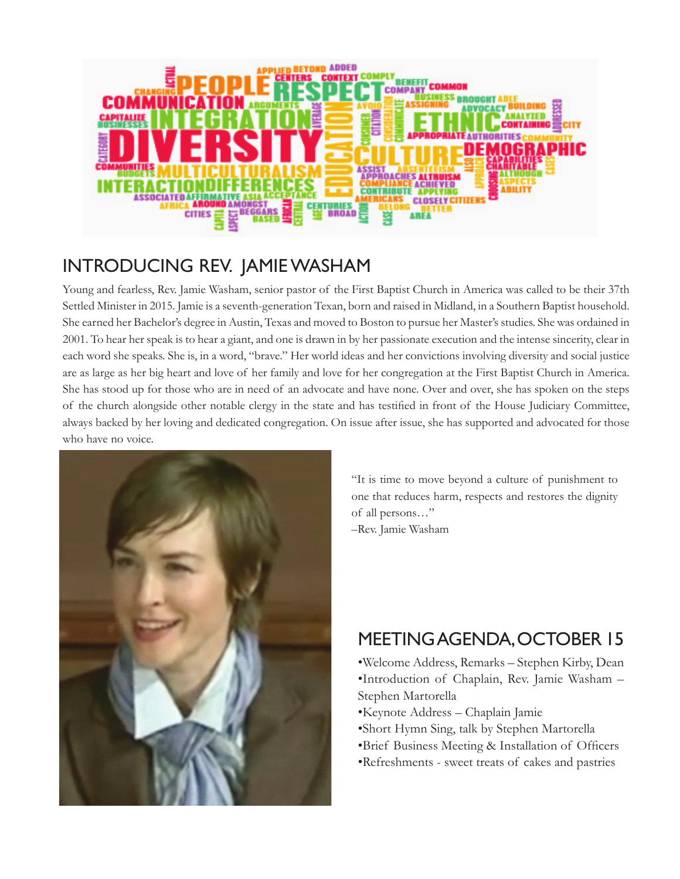

# Introducing Rev. Jamie Washam

Young and fearless, Rev. Jamie Washam, senior pastor of the First Baptist Church in America was called to be their 37th Settled Minister in 2015. Jamie is a seventh-generation Texan, born and raised in Midland, in a Southern Baptist household. She earned her Bachelor's degree in Austin, Texas and moved to Boston to pursue her Master's studies. She was ordained in 2001. To hear her speak is to hear a giant, and one is drawn in by her passionate execution and the intense sincerity, clear in each word she speaks. She is, in a word, "brave." Her world ideas and her convictions involving diversity and social justice are as large as her big heart and love of her family and love for her congregation at the First Baptist Church in America. She has stood up for those who are in need of an advocate and have none. Over and over, she has spoken on the steps of the church alongside other notable clergy in the state and has testified in front of the House Judiciary Committee, always backed by her loving and dedicated congregation. On issue after issue, she has supported and advocated for those who have no voice.



"It is time to move beyond a culture of punishment to one that reduces harm, respects and restores the dignity of all persons…" –Rev. Jamie Washam

# MeetingAgenda, October 15

•Welcome Address, Remarks – Stephen Kirby, Dean •Introduction of Chaplain, Rev. Jamie Washam – Stephen Martorella

- •Keynote Address Chaplain Jamie
- •Short Hymn Sing, talk by Stephen Martorella
- •Brief Business Meeting & Installation of Officers
- •Refreshments sweet treats of cakes and pastries